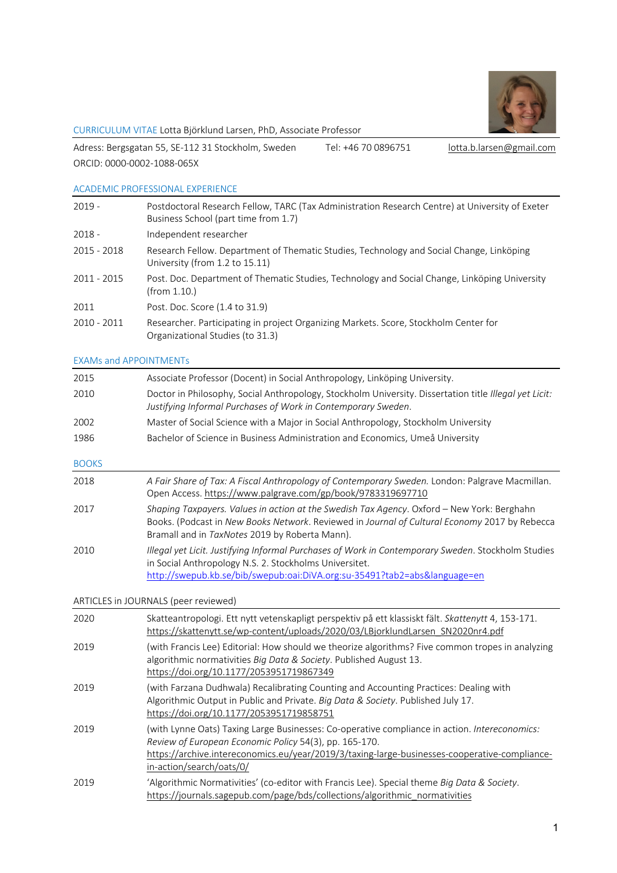

#### CURRICULUM VITAE Lotta Björklund Larsen, PhD, Associate Professor

Adress: Bergsgatan 55, SE-112 31 Stockholm, Sweden Tel: +46 70 0896751 lotta.b.larsen@gmail.com ORCID: 0000-0002-1088-065X

### ACADEMIC PROFESSIONAL EXPERIENCE

| $2019 -$    | Postdoctoral Research Fellow, TARC (Tax Administration Research Centre) at University of Exeter<br>Business School (part time from 1.7) |
|-------------|-----------------------------------------------------------------------------------------------------------------------------------------|
| $2018 -$    | Independent researcher                                                                                                                  |
| 2015 - 2018 | Research Fellow. Department of Thematic Studies, Technology and Social Change, Linköping<br>University (from 1.2 to 15.11)              |
| 2011 - 2015 | Post. Doc. Department of Thematic Studies, Technology and Social Change, Linköping University<br>(from 1.10.)                           |
| 2011        | Post. Doc. Score (1.4 to 31.9)                                                                                                          |
| 2010 - 2011 | Researcher. Participating in project Organizing Markets. Score, Stockholm Center for<br>Organizational Studies (to 31.3)                |

### EXAMs and APPOINTMENTs

| 2015                                 | Associate Professor (Docent) in Social Anthropology, Linköping University.                                                                                                                                                                    |
|--------------------------------------|-----------------------------------------------------------------------------------------------------------------------------------------------------------------------------------------------------------------------------------------------|
| 2010                                 | Doctor in Philosophy, Social Anthropology, Stockholm University. Dissertation title Illegal yet Licit:<br>Justifying Informal Purchases of Work in Contemporary Sweden.                                                                       |
| 2002                                 | Master of Social Science with a Major in Social Anthropology, Stockholm University                                                                                                                                                            |
| 1986                                 | Bachelor of Science in Business Administration and Economics, Umeå University                                                                                                                                                                 |
| <b>BOOKS</b>                         |                                                                                                                                                                                                                                               |
| 2018                                 | A Fair Share of Tax: A Fiscal Anthropology of Contemporary Sweden. London: Palgrave Macmillan.<br>Open Access. https://www.palgrave.com/gp/book/9783319697710                                                                                 |
| 2017                                 | Shaping Taxpayers. Values in action at the Swedish Tax Agency. Oxford - New York: Berghahn<br>Books. (Podcast in New Books Network. Reviewed in Journal of Cultural Economy 2017 by Rebecca<br>Bramall and in TaxNotes 2019 by Roberta Mann). |
| 2010                                 | Illegal yet Licit. Justifying Informal Purchases of Work in Contemporary Sweden. Stockholm Studies<br>in Social Anthropology N.S. 2. Stockholms Universitet.<br>http://swepub.kb.se/bib/swepub:oai:DiVA.org:su-35491?tab2=abs&language=en     |
| ARTICLES in JOURNALS (peer reviewed) |                                                                                                                                                                                                                                               |

2020 Skatteantropologi. Ett nytt vetenskapligt perspektiv på ett klassiskt fält. *Skattenytt* 4, 153-171. https://skattenytt.se/wp-content/uploads/2020/03/LBjorklundLarsen\_SN2020nr4.pdf 2019 (with Francis Lee) Editorial: How should we theorize algorithms? Five common tropes in analyzing algorithmic normativities *Big Data & Society*. Published August 13. https://doi.org/10.1177/2053951719867349 2019 (with Farzana Dudhwala) Recalibrating Counting and Accounting Practices: Dealing with Algorithmic Output in Public and Private. *Big Data & Society*. Published July 17. https://doi.org/10.1177/2053951719858751 2019 (with Lynne Oats) Taxing Large Businesses: Co-operative compliance in action. *Intereconomics: Review of European Economic Policy* 54(3), pp. 165-170. https://archive.intereconomics.eu/year/2019/3/taxing-large-businesses-cooperative-compliancein-action/search/oats/0/ 2019 'Algorithmic Normativities' (co-editor with Francis Lee). Special theme *Big Data & Society*. https://journals.sagepub.com/page/bds/collections/algorithmic\_normativities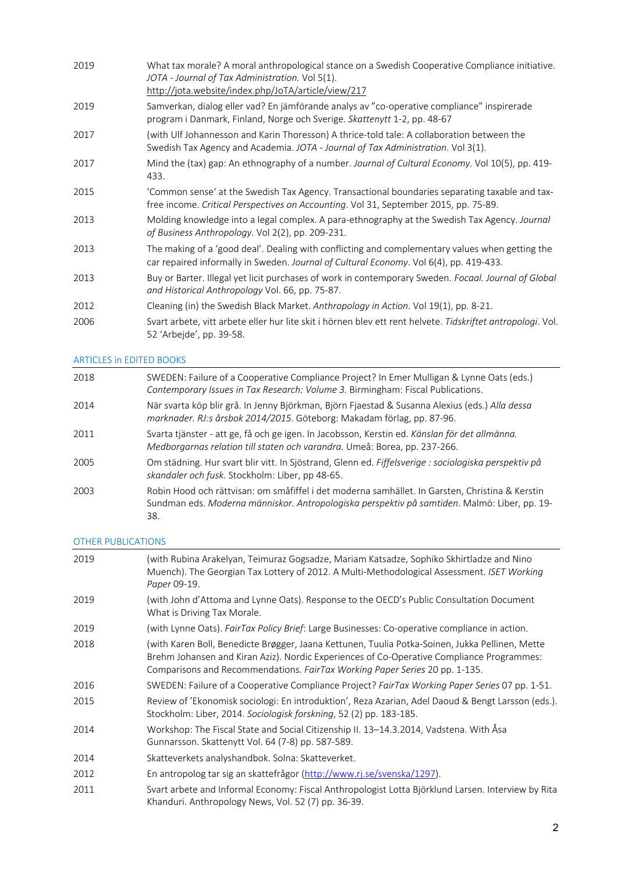| 2019 | What tax morale? A moral anthropological stance on a Swedish Cooperative Compliance initiative.<br>JOTA - Journal of Tax Administration. Vol 5(1).<br>http://jota.website/index.php/JoTA/article/view/217 |
|------|-----------------------------------------------------------------------------------------------------------------------------------------------------------------------------------------------------------|
| 2019 | Samverkan, dialog eller vad? En jämförande analys av "co-operative compliance" inspirerade<br>program i Danmark, Finland, Norge och Sverige. Skattenytt 1-2, pp. 48-67                                    |
| 2017 | (with Ulf Johannesson and Karin Thoresson) A thrice-told tale: A collaboration between the<br>Swedish Tax Agency and Academia. JOTA - Journal of Tax Administration. Vol 3(1).                            |
| 2017 | Mind the (tax) gap: An ethnography of a number. Journal of Cultural Economy. Vol 10(5), pp. 419-<br>433.                                                                                                  |
| 2015 | 'Common sense' at the Swedish Tax Agency. Transactional boundaries separating taxable and tax-<br>free income. Critical Perspectives on Accounting. Vol 31, September 2015, pp. 75-89.                    |
| 2013 | Molding knowledge into a legal complex. A para-ethnography at the Swedish Tax Agency. Journal<br>of Business Anthropology. Vol 2(2), pp. 209-231.                                                         |
| 2013 | The making of a 'good deal'. Dealing with conflicting and complementary values when getting the<br>car repaired informally in Sweden. Journal of Cultural Economy. Vol 6(4), pp. 419-433.                 |
| 2013 | Buy or Barter. Illegal yet licit purchases of work in contemporary Sweden. Focaal. Journal of Global<br>and Historical Anthropology Vol. 66, pp. 75-87.                                                   |
| 2012 | Cleaning (in) the Swedish Black Market. Anthropology in Action. Vol 19(1), pp. 8-21.                                                                                                                      |
| 2006 | Svart arbete, vitt arbete eller hur lite skit i hörnen blev ett rent helvete. Tidskriftet antropologi. Vol.<br>52 'Arbejde', pp. 39-58.                                                                   |

# ARTICLES in EDITED BOOKS

| 2018 | SWEDEN: Failure of a Cooperative Compliance Project? In Emer Mulligan & Lynne Oats (eds.)<br>Contemporary Issues in Tax Research: Volume 3. Birmingham: Fiscal Publications.                           |
|------|--------------------------------------------------------------------------------------------------------------------------------------------------------------------------------------------------------|
| 2014 | När svarta köp blir grå. In Jenny Björkman, Björn Fjaestad & Susanna Alexius (eds.) Alla dessa<br>marknader. RJ:s årsbok 2014/2015. Göteborg: Makadam förlag, pp. 87-96.                               |
| 2011 | Svarta tjänster - att ge, få och ge igen. In Jacobsson, Kerstin ed. Känslan för det allmänna.<br>Medborgarnas relation till staten och varandra. Umeå: Borea, pp. 237-266.                             |
| 2005 | Om städning. Hur svart blir vitt. In Sjöstrand, Glenn ed. Fiffelsverige : sociologiska perspektiv på<br>skandaler och fusk. Stockholm: Liber, pp 48-65.                                                |
| 2003 | Robin Hood och rättvisan: om småfiffel i det moderna samhället. In Garsten, Christina & Kerstin<br>Sundman eds. Moderna människor. Antropologiska perspektiv på samtiden. Malmö: Liber, pp. 19-<br>38. |

## OTHER PUBLICATIONS

| 2019 | (with Rubina Arakelyan, Teimuraz Gogsadze, Mariam Katsadze, Sophiko Skhirtladze and Nino<br>Muench). The Georgian Tax Lottery of 2012. A Multi-Methodological Assessment. ISET Working<br>Paper 09-19.                                                                      |
|------|-----------------------------------------------------------------------------------------------------------------------------------------------------------------------------------------------------------------------------------------------------------------------------|
| 2019 | (with John d'Attoma and Lynne Oats). Response to the OECD's Public Consultation Document<br>What is Driving Tax Morale.                                                                                                                                                     |
| 2019 | (with Lynne Oats). FairTax Policy Brief: Large Businesses: Co-operative compliance in action.                                                                                                                                                                               |
| 2018 | (with Karen Boll, Benedicte Brøgger, Jaana Kettunen, Tuulia Potka-Soinen, Jukka Pellinen, Mette<br>Brehm Johansen and Kiran Aziz). Nordic Experiences of Co-Operative Compliance Programmes:<br>Comparisons and Recommendations. FairTax Working Paper Series 20 pp. 1-135. |
| 2016 | SWEDEN: Failure of a Cooperative Compliance Project? FairTax Working Paper Series 07 pp. 1-51.                                                                                                                                                                              |
| 2015 | Review of 'Ekonomisk sociologi: En introduktion', Reza Azarian, Adel Daoud & Bengt Larsson (eds.).<br>Stockholm: Liber, 2014. Sociologisk forskning, 52 (2) pp. 183-185.                                                                                                    |
| 2014 | Workshop: The Fiscal State and Social Citizenship II. 13-14.3.2014, Vadstena. With Åsa<br>Gunnarsson. Skattenytt Vol. 64 (7-8) pp. 587-589.                                                                                                                                 |
| 2014 | Skatteverkets analyshandbok. Solna: Skatteverket.                                                                                                                                                                                                                           |
| 2012 | En antropolog tar sig an skattefrågor (http://www.rj.se/svenska/1297).                                                                                                                                                                                                      |
| 2011 | Svart arbete and Informal Economy: Fiscal Anthropologist Lotta Björklund Larsen. Interview by Rita<br>Khanduri. Anthropology News, Vol. 52 (7) pp. 36-39.                                                                                                                   |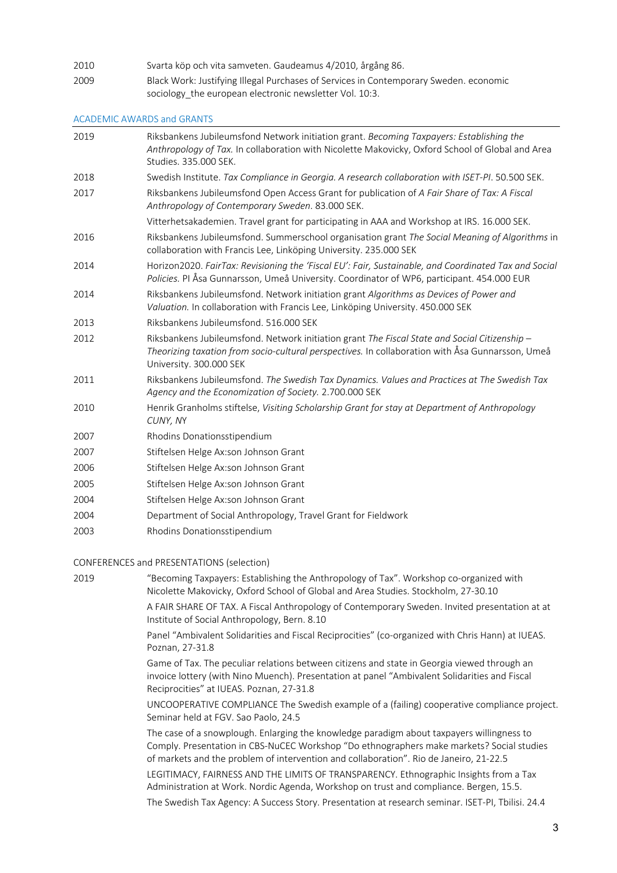2010 Svarta köp och vita samveten. Gaudeamus 4/2010, årgång 86. 2009 Black Work: Justifying Illegal Purchases of Services in Contemporary Sweden. economic sociology the european electronic newsletter Vol. 10:3.

#### ACADEMIC AWARDS and GRANTS

| 2019 | Riksbankens Jubileumsfond Network initiation grant. Becoming Taxpayers: Establishing the<br>Anthropology of Tax. In collaboration with Nicolette Makovicky, Oxford School of Global and Area<br>Studies. 335.000 SEK.        |
|------|------------------------------------------------------------------------------------------------------------------------------------------------------------------------------------------------------------------------------|
| 2018 | Swedish Institute. Tax Compliance in Georgia. A research collaboration with ISET-PI. 50.500 SEK.                                                                                                                             |
| 2017 | Riksbankens Jubileumsfond Open Access Grant for publication of A Fair Share of Tax: A Fiscal<br>Anthropology of Contemporary Sweden. 83.000 SEK.                                                                             |
|      | Vitterhetsakademien. Travel grant for participating in AAA and Workshop at IRS. 16.000 SEK.                                                                                                                                  |
| 2016 | Riksbankens Jubileumsfond. Summerschool organisation grant The Social Meaning of Algorithms in<br>collaboration with Francis Lee, Linköping University. 235.000 SEK                                                          |
| 2014 | Horizon2020. FairTax: Revisioning the 'Fiscal EU': Fair, Sustainable, and Coordinated Tax and Social<br>Policies. Pl Åsa Gunnarsson, Umeå University. Coordinator of WP6, participant. 454.000 EUR                           |
| 2014 | Riksbankens Jubileumsfond. Network initiation grant Algorithms as Devices of Power and<br>Valuation. In collaboration with Francis Lee, Linköping University. 450.000 SEK                                                    |
| 2013 | Riksbankens Jubileumsfond, 516,000 SEK                                                                                                                                                                                       |
| 2012 | Riksbankens Jubileumsfond. Network initiation grant The Fiscal State and Social Citizenship -<br>Theorizing taxation from socio-cultural perspectives. In collaboration with Åsa Gunnarsson, Umeå<br>University. 300.000 SEK |
| 2011 | Riksbankens Jubileumsfond. The Swedish Tax Dynamics. Values and Practices at The Swedish Tax<br>Agency and the Economization of Society. 2.700.000 SEK                                                                       |
| 2010 | Henrik Granholms stiftelse, Visiting Scholarship Grant for stay at Department of Anthropology<br>CUNY, NY                                                                                                                    |
| 2007 | Rhodins Donationsstipendium                                                                                                                                                                                                  |
| 2007 | Stiftelsen Helge Ax:son Johnson Grant                                                                                                                                                                                        |
| 2006 | Stiftelsen Helge Ax:son Johnson Grant                                                                                                                                                                                        |
| 2005 | Stiftelsen Helge Ax:son Johnson Grant                                                                                                                                                                                        |
| 2004 | Stiftelsen Helge Ax:son Johnson Grant                                                                                                                                                                                        |
| 2004 | Department of Social Anthropology, Travel Grant for Fieldwork                                                                                                                                                                |
| 2003 | Rhodins Donationsstipendium                                                                                                                                                                                                  |
|      | CONFERENCES and PRESENTATIONS (selection)                                                                                                                                                                                    |
| 2019 | "Becoming Taxpayers: Establishing the Anthropology of Tax". Workshop co-organized with<br>Nicolette Makovicky, Oxford School of Global and Area Studies. Stockholm, 27-30.10                                                 |
|      | A FAIR SHARE OF TAX. A Fiscal Anthropology of Contemporary Sweden. Invited presentation at at<br>Institute of Social Anthropology, Bern. 8.10                                                                                |
|      | Panel "Ambivalent Solidarities and Fiscal Reciprocities" (co-organized with Chris Hann) at IUEAS.<br>Poznan, 27-31.8                                                                                                         |

Game of Tax. The peculiar relations between citizens and state in Georgia viewed through an invoice lottery (with Nino Muench). Presentation at panel "Ambivalent Solidarities and Fiscal Reciprocities" at IUEAS. Poznan, 27-31.8

UNCOOPERATIVE COMPLIANCE The Swedish example of a (failing) cooperative compliance project. Seminar held at FGV. Sao Paolo, 24.5

The case of a snowplough. Enlarging the knowledge paradigm about taxpayers willingness to Comply. Presentation in CBS-NuCEC Workshop "Do ethnographers make markets? Social studies of markets and the problem of intervention and collaboration". Rio de Janeiro, 21-22.5

LEGITIMACY, FAIRNESS AND THE LIMITS OF TRANSPARENCY. Ethnographic Insights from a Tax Administration at Work. Nordic Agenda, Workshop on trust and compliance. Bergen, 15.5.

The Swedish Tax Agency: A Success Story. Presentation at research seminar. ISET-PI, Tbilisi. 24.4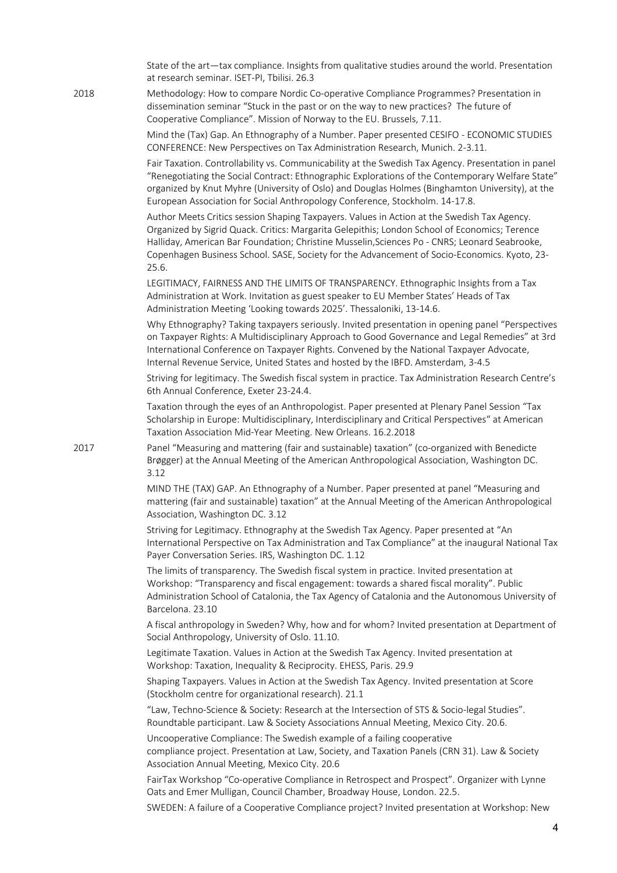State of the art—tax compliance. Insights from qualitative studies around the world. Presentation at research seminar. ISET-PI, Tbilisi. 26.3

2018 Methodology: How to compare Nordic Co-operative Compliance Programmes? Presentation in dissemination seminar "Stuck in the past or on the way to new practices? The future of Cooperative Compliance". Mission of Norway to the EU. Brussels, 7.11.

> Mind the (Tax) Gap. An Ethnography of a Number. Paper presented CESIFO - ECONOMIC STUDIES CONFERENCE: New Perspectives on Tax Administration Research, Munich. 2-3.11.

Fair Taxation. Controllability vs. Communicability at the Swedish Tax Agency. Presentation in panel "Renegotiating the Social Contract: Ethnographic Explorations of the Contemporary Welfare State" organized by Knut Myhre (University of Oslo) and Douglas Holmes (Binghamton University), at the European Association for Social Anthropology Conference, Stockholm. 14-17.8.

Author Meets Critics session Shaping Taxpayers. Values in Action at the Swedish Tax Agency. Organized by Sigrid Quack. Critics: Margarita Gelepithis; London School of Economics; Terence Halliday, American Bar Foundation; Christine Musselin,Sciences Po - CNRS; Leonard Seabrooke, Copenhagen Business School. SASE, Society for the Advancement of Socio-Economics. Kyoto, 23- 25.6.

LEGITIMACY, FAIRNESS AND THE LIMITS OF TRANSPARENCY. Ethnographic Insights from a Tax Administration at Work. Invitation as guest speaker to EU Member States' Heads of Tax Administration Meeting 'Looking towards 2025'. Thessaloniki, 13-14.6.

Why Ethnography? Taking taxpayers seriously. Invited presentation in opening panel "Perspectives on Taxpayer Rights: A Multidisciplinary Approach to Good Governance and Legal Remedies" at 3rd International Conference on Taxpayer Rights. Convened by the National Taxpayer Advocate, Internal Revenue Service, United States and hosted by the IBFD. Amsterdam, 3-4.5

Striving for legitimacy. The Swedish fiscal system in practice. Tax Administration Research Centre's 6th Annual Conference, Exeter 23-24.4.

Taxation through the eyes of an Anthropologist. Paper presented at Plenary Panel Session "Tax Scholarship in Europe: Multidisciplinary, Interdisciplinary and Critical Perspectives" at American Taxation Association Mid-Year Meeting. New Orleans. 16.2.2018

2017 Panel "Measuring and mattering (fair and sustainable) taxation" (co-organized with Benedicte Brøgger) at the Annual Meeting of the American Anthropological Association, Washington DC. 3.12

> MIND THE (TAX) GAP. An Ethnography of a Number. Paper presented at panel "Measuring and mattering (fair and sustainable) taxation" at the Annual Meeting of the American Anthropological Association, Washington DC. 3.12

Striving for Legitimacy. Ethnography at the Swedish Tax Agency. Paper presented at "An International Perspective on Tax Administration and Tax Compliance" at the inaugural National Tax Payer Conversation Series. IRS, Washington DC. 1.12

The limits of transparency. The Swedish fiscal system in practice. Invited presentation at Workshop: "Transparency and fiscal engagement: towards a shared fiscal morality". Public Administration School of Catalonia, the Tax Agency of Catalonia and the Autonomous University of Barcelona. 23.10

A fiscal anthropology in Sweden? Why, how and for whom? Invited presentation at Department of Social Anthropology, University of Oslo. 11.10.

Legitimate Taxation. Values in Action at the Swedish Tax Agency. Invited presentation at Workshop: Taxation, Inequality & Reciprocity. EHESS, Paris. 29.9

Shaping Taxpayers. Values in Action at the Swedish Tax Agency. Invited presentation at Score (Stockholm centre for organizational research). 21.1

"Law, Techno-Science & Society: Research at the Intersection of STS & Socio-legal Studies". Roundtable participant. Law & Society Associations Annual Meeting, Mexico City. 20.6.

Uncooperative Compliance: The Swedish example of a failing cooperative

compliance project. Presentation at Law, Society, and Taxation Panels (CRN 31). Law & Society Association Annual Meeting, Mexico City. 20.6

FairTax Workshop "Co-operative Compliance in Retrospect and Prospect". Organizer with Lynne Oats and Emer Mulligan, Council Chamber, Broadway House, London. 22.5.

SWEDEN: A failure of a Cooperative Compliance project? Invited presentation at Workshop: New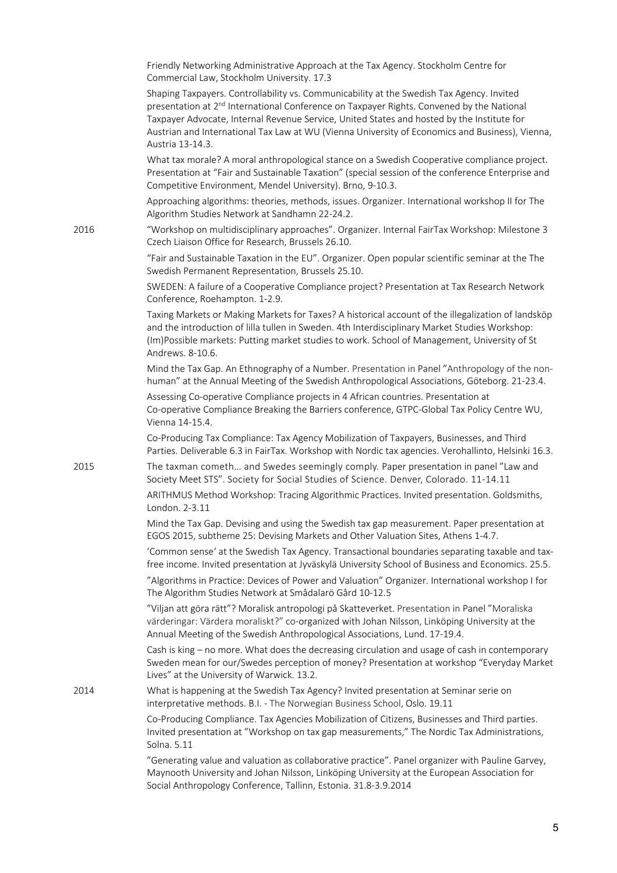|      | Friendly Networking Administrative Approach at the Tax Agency. Stockholm Centre for<br>Commercial Law, Stockholm University. 17.3                                                                                                                                                                                                                                                                                       |
|------|-------------------------------------------------------------------------------------------------------------------------------------------------------------------------------------------------------------------------------------------------------------------------------------------------------------------------------------------------------------------------------------------------------------------------|
|      | Shaping Taxpayers. Controllability vs. Communicability at the Swedish Tax Agency. Invited<br>presentation at 2 <sup>nd</sup> International Conference on Taxpayer Rights. Convened by the National<br>Taxpayer Advocate, Internal Revenue Service, United States and hosted by the Institute for<br>Austrian and International Tax Law at WU (Vienna University of Economics and Business), Vienna,<br>Austria 13-14.3. |
|      | What tax morale? A moral anthropological stance on a Swedish Cooperative compliance project.<br>Presentation at "Fair and Sustainable Taxation" (special session of the conference Enterprise and<br>Competitive Environment, Mendel University). Brno, 9-10.3.                                                                                                                                                         |
|      | Approaching algorithms: theories, methods, issues. Organizer. International workshop II for The<br>Algorithm Studies Network at Sandhamn 22-24.2.                                                                                                                                                                                                                                                                       |
| 2016 | "Workshop on multidisciplinary approaches". Organizer. Internal FairTax Workshop: Milestone 3<br>Czech Liaison Office for Research, Brussels 26.10.                                                                                                                                                                                                                                                                     |
|      | "Fair and Sustainable Taxation in the EU". Organizer. Open popular scientific seminar at the The<br>Swedish Permanent Representation, Brussels 25.10.                                                                                                                                                                                                                                                                   |
|      | SWEDEN: A failure of a Cooperative Compliance project? Presentation at Tax Research Network<br>Conference, Roehampton. 1-2.9.                                                                                                                                                                                                                                                                                           |
|      | Taxing Markets or Making Markets for Taxes? A historical account of the illegalization of landsköp<br>and the introduction of lilla tullen in Sweden. 4th Interdisciplinary Market Studies Workshop:<br>(Im)Possible markets: Putting market studies to work. School of Management, University of St<br>Andrews. 8-10.6.                                                                                                |
|      | Mind the Tax Gap. An Ethnography of a Number. Presentation in Panel "Anthropology of the non-<br>human" at the Annual Meeting of the Swedish Anthropological Associations, Göteborg. 21-23.4.                                                                                                                                                                                                                           |
|      | Assessing Co-operative Compliance projects in 4 African countries. Presentation at<br>Co-operative Compliance Breaking the Barriers conference, GTPC-Global Tax Policy Centre WU,<br>Vienna 14-15.4.                                                                                                                                                                                                                    |
|      | Co-Producing Tax Compliance: Tax Agency Mobilization of Taxpayers, Businesses, and Third<br>Parties. Deliverable 6.3 in FairTax. Workshop with Nordic tax agencies. Verohallinto, Helsinki 16.3.                                                                                                                                                                                                                        |
| 2015 | The taxman cometh and Swedes seemingly comply. Paper presentation in panel "Law and<br>Society Meet STS". Society for Social Studies of Science. Denver, Colorado. 11-14.11                                                                                                                                                                                                                                             |
|      | ARITHMUS Method Workshop: Tracing Algorithmic Practices. Invited presentation. Goldsmiths,<br>London. 2-3.11                                                                                                                                                                                                                                                                                                            |
|      | Mind the Tax Gap. Devising and using the Swedish tax gap measurement. Paper presentation at<br>EGOS 2015, subtheme 25: Devising Markets and Other Valuation Sites, Athens 1-4.7.                                                                                                                                                                                                                                        |
|      | 'Common sense' at the Swedish Tax Agency. Transactional boundaries separating taxable and tax-<br>free income. Invited presentation at Jyväskylä University School of Business and Economics. 25.5.                                                                                                                                                                                                                     |
|      | "Algorithms in Practice: Devices of Power and Valuation" Organizer. International workshop I for<br>The Algorithm Studies Network at Smådalarö Gård 10-12.5                                                                                                                                                                                                                                                             |
|      | "Viljan att göra rätt"? Moralisk antropologi på Skatteverket. Presentation in Panel "Moraliska<br>värderingar: Värdera moraliskt?" co-organized with Johan Nilsson, Linköping University at the<br>Annual Meeting of the Swedish Anthropological Associations, Lund. 17-19.4.                                                                                                                                           |
|      | Cash is king – no more. What does the decreasing circulation and usage of cash in contemporary<br>Sweden mean for our/Swedes perception of money? Presentation at workshop "Everyday Market<br>Lives" at the University of Warwick. 13.2.                                                                                                                                                                               |
| 2014 | What is happening at the Swedish Tax Agency? Invited presentation at Seminar serie on<br>interpretative methods. B.I. - The Norwegian Business School, Oslo. 19.11                                                                                                                                                                                                                                                      |
|      | Co-Producing Compliance. Tax Agencies Mobilization of Citizens, Businesses and Third parties.<br>Invited presentation at "Workshop on tax gap measurements," The Nordic Tax Administrations,<br>Solna. 5.11                                                                                                                                                                                                             |
|      | "Generating value and valuation as collaborative practice". Panel organizer with Pauline Garvey,<br>Maynooth University and Johan Nilsson, Linköping University at the European Association for<br>Social Anthropology Conference, Tallinn, Estonia. 31.8-3.9.2014                                                                                                                                                      |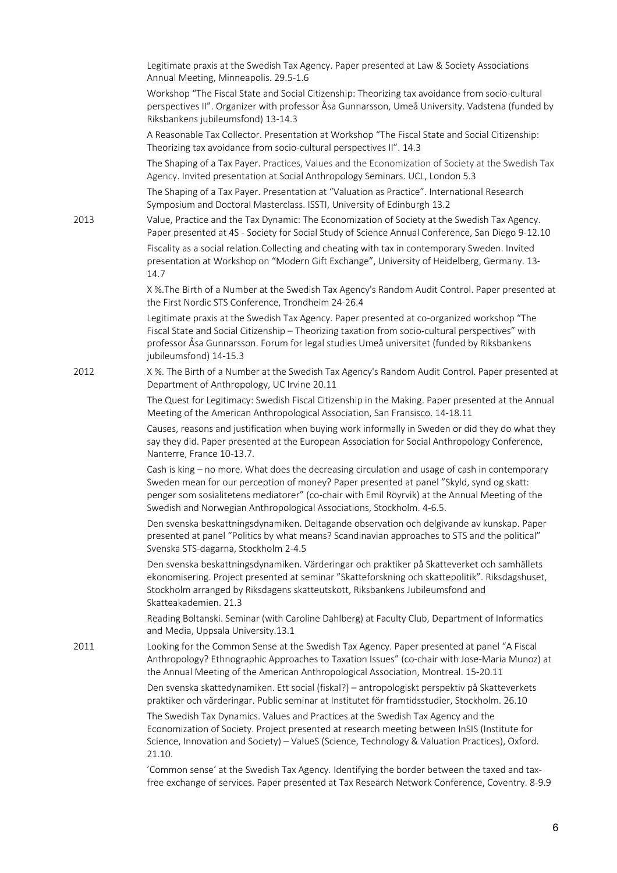|      | Legitimate praxis at the Swedish Tax Agency. Paper presented at Law & Society Associations<br>Annual Meeting, Minneapolis. 29.5-1.6                                                                                                                                                                                                                                   |
|------|-----------------------------------------------------------------------------------------------------------------------------------------------------------------------------------------------------------------------------------------------------------------------------------------------------------------------------------------------------------------------|
|      | Workshop "The Fiscal State and Social Citizenship: Theorizing tax avoidance from socio-cultural<br>perspectives II". Organizer with professor Åsa Gunnarsson, Umeå University. Vadstena (funded by<br>Riksbankens jubileumsfond) 13-14.3                                                                                                                              |
|      | A Reasonable Tax Collector. Presentation at Workshop "The Fiscal State and Social Citizenship:<br>Theorizing tax avoidance from socio-cultural perspectives II". 14.3                                                                                                                                                                                                 |
|      | The Shaping of a Tax Payer. Practices, Values and the Economization of Society at the Swedish Tax<br>Agency. Invited presentation at Social Anthropology Seminars. UCL, London 5.3                                                                                                                                                                                    |
|      | The Shaping of a Tax Payer. Presentation at "Valuation as Practice". International Research<br>Symposium and Doctoral Masterclass. ISSTI, University of Edinburgh 13.2                                                                                                                                                                                                |
| 2013 | Value, Practice and the Tax Dynamic: The Economization of Society at the Swedish Tax Agency.<br>Paper presented at 4S - Society for Social Study of Science Annual Conference, San Diego 9-12.10                                                                                                                                                                      |
|      | Fiscality as a social relation.Collecting and cheating with tax in contemporary Sweden. Invited<br>presentation at Workshop on "Modern Gift Exchange", University of Heidelberg, Germany. 13-<br>14.7                                                                                                                                                                 |
|      | X %. The Birth of a Number at the Swedish Tax Agency's Random Audit Control. Paper presented at<br>the First Nordic STS Conference, Trondheim 24-26.4                                                                                                                                                                                                                 |
|      | Legitimate praxis at the Swedish Tax Agency. Paper presented at co-organized workshop "The<br>Fiscal State and Social Citizenship - Theorizing taxation from socio-cultural perspectives" with<br>professor Åsa Gunnarsson. Forum for legal studies Umeå universitet (funded by Riksbankens<br>jubileumsfond) 14-15.3                                                 |
| 2012 | X %. The Birth of a Number at the Swedish Tax Agency's Random Audit Control. Paper presented at<br>Department of Anthropology, UC Irvine 20.11                                                                                                                                                                                                                        |
|      | The Quest for Legitimacy: Swedish Fiscal Citizenship in the Making. Paper presented at the Annual<br>Meeting of the American Anthropological Association, San Fransisco. 14-18.11                                                                                                                                                                                     |
|      | Causes, reasons and justification when buying work informally in Sweden or did they do what they<br>say they did. Paper presented at the European Association for Social Anthropology Conference,<br>Nanterre, France 10-13.7.                                                                                                                                        |
|      | Cash is king - no more. What does the decreasing circulation and usage of cash in contemporary<br>Sweden mean for our perception of money? Paper presented at panel "Skyld, synd og skatt:<br>penger som sosialitetens mediatorer" (co-chair with Emil Röyrvik) at the Annual Meeting of the<br>Swedish and Norwegian Anthropological Associations, Stockholm. 4-6.5. |
|      | Den svenska beskattningsdynamiken. Deltagande observation och delgivande av kunskap. Paper<br>presented at panel "Politics by what means? Scandinavian approaches to STS and the political"<br>Svenska STS-dagarna, Stockholm 2-4.5                                                                                                                                   |
|      | Den svenska beskattningsdynamiken. Värderingar och praktiker på Skatteverket och samhällets<br>ekonomisering. Project presented at seminar "Skatteforskning och skattepolitik". Riksdagshuset,<br>Stockholm arranged by Riksdagens skatteutskott, Riksbankens Jubileumsfond and<br>Skatteakademien. 21.3                                                              |
|      | Reading Boltanski. Seminar (with Caroline Dahlberg) at Faculty Club, Department of Informatics<br>and Media, Uppsala University.13.1                                                                                                                                                                                                                                  |
| 2011 | Looking for the Common Sense at the Swedish Tax Agency. Paper presented at panel "A Fiscal<br>Anthropology? Ethnographic Approaches to Taxation Issues" (co-chair with Jose-Maria Munoz) at<br>the Annual Meeting of the American Anthropological Association, Montreal. 15-20.11                                                                                     |
|      | Den svenska skattedynamiken. Ett social (fiskal?) – antropologiskt perspektiv på Skatteverkets<br>praktiker och värderingar. Public seminar at Institutet för framtidsstudier, Stockholm. 26.10                                                                                                                                                                       |
|      | The Swedish Tax Dynamics. Values and Practices at the Swedish Tax Agency and the<br>Economization of Society. Project presented at research meeting between InSIS (Institute for<br>Science, Innovation and Society) - ValueS (Science, Technology & Valuation Practices), Oxford.<br>21.10.                                                                          |
|      | 'Common sense' at the Swedish Tax Agency. Identifying the border between the taxed and tax-<br>free exchange of services. Paper presented at Tax Research Network Conference, Coventry. 8-9.9                                                                                                                                                                         |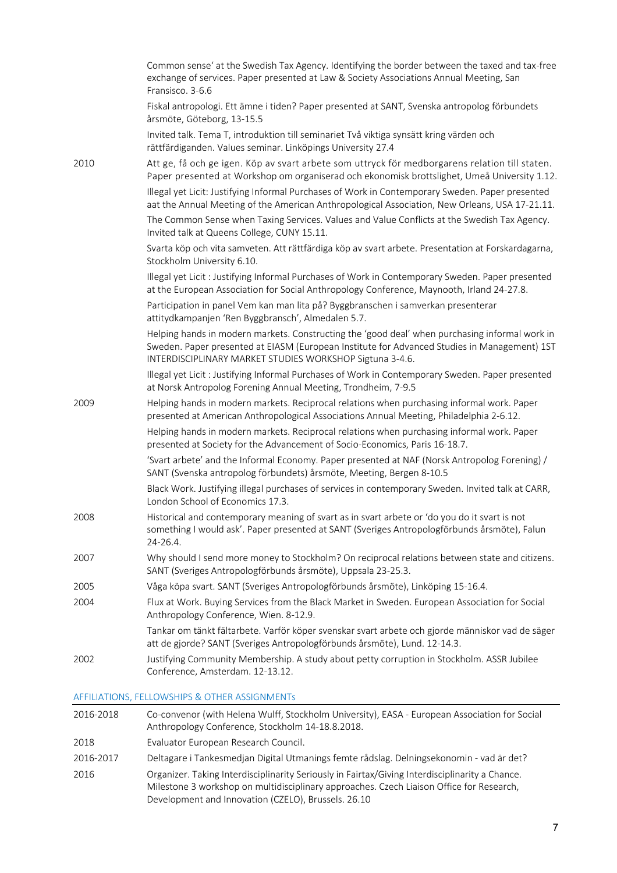|      | Common sense' at the Swedish Tax Agency. Identifying the border between the taxed and tax-free<br>exchange of services. Paper presented at Law & Society Associations Annual Meeting, San<br>Fransisco. 3-6.6                                              |
|------|------------------------------------------------------------------------------------------------------------------------------------------------------------------------------------------------------------------------------------------------------------|
|      | Fiskal antropologi. Ett ämne i tiden? Paper presented at SANT, Svenska antropolog förbundets<br>årsmöte, Göteborg, 13-15.5                                                                                                                                 |
|      | Invited talk. Tema T, introduktion till seminariet Två viktiga synsätt kring värden och<br>rättfärdiganden. Values seminar. Linköpings University 27.4                                                                                                     |
| 2010 | Att ge, få och ge igen. Köp av svart arbete som uttryck för medborgarens relation till staten.<br>Paper presented at Workshop om organiserad och ekonomisk brottslighet, Umeå University 1.12.                                                             |
|      | Illegal yet Licit: Justifying Informal Purchases of Work in Contemporary Sweden. Paper presented<br>aat the Annual Meeting of the American Anthropological Association, New Orleans, USA 17-21.11.                                                         |
|      | The Common Sense when Taxing Services. Values and Value Conflicts at the Swedish Tax Agency.<br>Invited talk at Queens College, CUNY 15.11.                                                                                                                |
|      | Svarta köp och vita samveten. Att rättfärdiga köp av svart arbete. Presentation at Forskardagarna,<br>Stockholm University 6.10.                                                                                                                           |
|      | Illegal yet Licit : Justifying Informal Purchases of Work in Contemporary Sweden. Paper presented<br>at the European Association for Social Anthropology Conference, Maynooth, Irland 24-27.8.                                                             |
|      | Participation in panel Vem kan man lita på? Byggbranschen i samverkan presenterar<br>attitydkampanjen 'Ren Byggbransch', Almedalen 5.7.                                                                                                                    |
|      | Helping hands in modern markets. Constructing the 'good deal' when purchasing informal work in<br>Sweden. Paper presented at EIASM (European Institute for Advanced Studies in Management) 1ST<br>INTERDISCIPLINARY MARKET STUDIES WORKSHOP Sigtuna 3-4.6. |
|      | Illegal yet Licit : Justifying Informal Purchases of Work in Contemporary Sweden. Paper presented<br>at Norsk Antropolog Forening Annual Meeting, Trondheim, 7-9.5                                                                                         |
| 2009 | Helping hands in modern markets. Reciprocal relations when purchasing informal work. Paper<br>presented at American Anthropological Associations Annual Meeting, Philadelphia 2-6.12.                                                                      |
|      | Helping hands in modern markets. Reciprocal relations when purchasing informal work. Paper<br>presented at Society for the Advancement of Socio-Economics, Paris 16-18.7.                                                                                  |
|      | 'Svart arbete' and the Informal Economy. Paper presented at NAF (Norsk Antropolog Forening) /<br>SANT (Svenska antropolog förbundets) årsmöte, Meeting, Bergen 8-10.5                                                                                      |
|      | Black Work. Justifying illegal purchases of services in contemporary Sweden. Invited talk at CARR,<br>London School of Economics 17.3.                                                                                                                     |
| 2008 | Historical and contemporary meaning of svart as in svart arbete or 'do you do it svart is not<br>something I would ask'. Paper presented at SANT (Sveriges Antropologförbunds årsmöte), Falun<br>$24 - 26.4$ .                                             |
| 2007 | Why should I send more money to Stockholm? On reciprocal relations between state and citizens.<br>SANT (Sveriges Antropologförbunds årsmöte), Uppsala 23-25.3.                                                                                             |
| 2005 | Våga köpa svart. SANT (Sveriges Antropologförbunds årsmöte), Linköping 15-16.4.                                                                                                                                                                            |
| 2004 | Flux at Work. Buying Services from the Black Market in Sweden. European Association for Social<br>Anthropology Conference, Wien. 8-12.9.                                                                                                                   |
|      | Tankar om tänkt fältarbete. Varför köper svenskar svart arbete och gjorde människor vad de säger<br>att de gjorde? SANT (Sveriges Antropologförbunds årsmöte), Lund. 12-14.3.                                                                              |
| 2002 | Justifying Community Membership. A study about petty corruption in Stockholm. ASSR Jubilee<br>Conference, Amsterdam. 12-13.12.                                                                                                                             |
|      |                                                                                                                                                                                                                                                            |

AFFILIATIONS, FELLOWSHIPS & OTHER ASSIGNMENTs

| 2016-2018 | Co-convenor (with Helena Wulff, Stockholm University), EASA - European Association for Social<br>Anthropology Conference, Stockholm 14-18.8.2018.                                                                                                  |
|-----------|----------------------------------------------------------------------------------------------------------------------------------------------------------------------------------------------------------------------------------------------------|
| 2018      | Evaluator European Research Council.                                                                                                                                                                                                               |
| 2016-2017 | Deltagare i Tankesmedjan Digital Utmanings femte rådslag. Delningsekonomin - vad är det?                                                                                                                                                           |
| 2016      | Organizer. Taking Interdisciplinarity Seriously in Fairtax/Giving Interdisciplinarity a Chance.<br>Milestone 3 workshop on multidisciplinary approaches. Czech Liaison Office for Research,<br>Development and Innovation (CZELO), Brussels. 26.10 |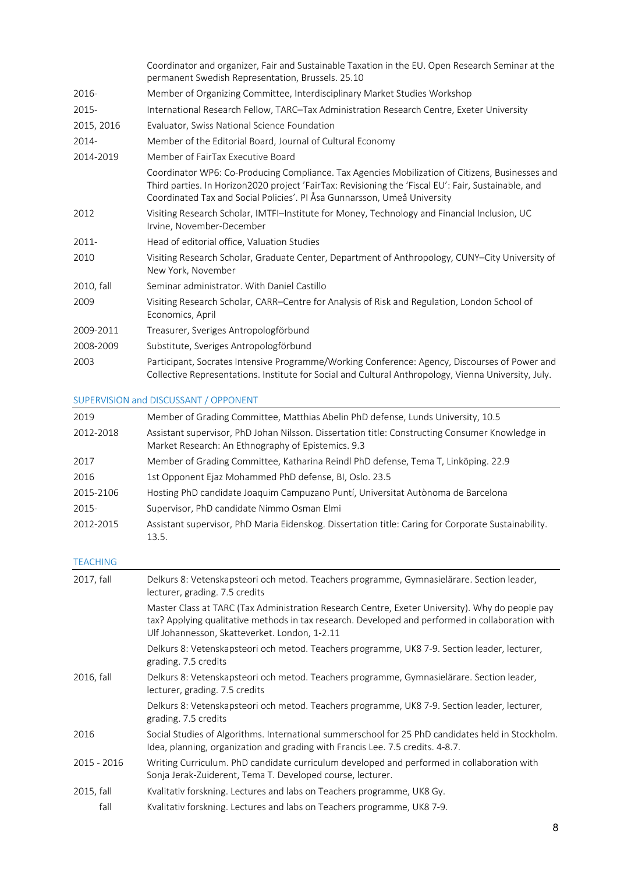|            | Coordinator and organizer, Fair and Sustainable Taxation in the EU. Open Research Seminar at the<br>permanent Swedish Representation, Brussels. 25.10                                                                                                                              |
|------------|------------------------------------------------------------------------------------------------------------------------------------------------------------------------------------------------------------------------------------------------------------------------------------|
| 2016-      | Member of Organizing Committee, Interdisciplinary Market Studies Workshop                                                                                                                                                                                                          |
| 2015-      | International Research Fellow, TARC-Tax Administration Research Centre, Exeter University                                                                                                                                                                                          |
| 2015, 2016 | Evaluator, Swiss National Science Foundation                                                                                                                                                                                                                                       |
| 2014-      | Member of the Editorial Board, Journal of Cultural Economy                                                                                                                                                                                                                         |
| 2014-2019  | Member of FairTax Executive Board                                                                                                                                                                                                                                                  |
|            | Coordinator WP6: Co-Producing Compliance. Tax Agencies Mobilization of Citizens, Businesses and<br>Third parties. In Horizon2020 project 'FairTax: Revisioning the 'Fiscal EU': Fair, Sustainable, and<br>Coordinated Tax and Social Policies'. PI Åsa Gunnarsson, Umeå University |
| 2012       | Visiting Research Scholar, IMTFI-Institute for Money, Technology and Financial Inclusion, UC<br>Irvine, November-December                                                                                                                                                          |
| $2011 -$   | Head of editorial office, Valuation Studies                                                                                                                                                                                                                                        |
| 2010       | Visiting Research Scholar, Graduate Center, Department of Anthropology, CUNY-City University of<br>New York, November                                                                                                                                                              |
| 2010, fall | Seminar administrator. With Daniel Castillo                                                                                                                                                                                                                                        |
| 2009       | Visiting Research Scholar, CARR-Centre for Analysis of Risk and Regulation, London School of<br>Economics, April                                                                                                                                                                   |
| 2009-2011  | Treasurer, Sveriges Antropologförbund                                                                                                                                                                                                                                              |
| 2008-2009  | Substitute, Sveriges Antropologförbund                                                                                                                                                                                                                                             |
| 2003       | Participant, Socrates Intensive Programme/Working Conference: Agency, Discourses of Power and<br>Collective Representations. Institute for Social and Cultural Anthropology, Vienna University, July.                                                                              |

SUPERVISION and DISCUSSANT / OPPONENT

| 2019      | Member of Grading Committee, Matthias Abelin PhD defense, Lunds University, 10.5                                                                      |
|-----------|-------------------------------------------------------------------------------------------------------------------------------------------------------|
| 2012-2018 | Assistant supervisor, PhD Johan Nilsson. Dissertation title: Constructing Consumer Knowledge in<br>Market Research: An Ethnography of Epistemics. 9.3 |
| 2017      | Member of Grading Committee, Katharina Reindl PhD defense, Tema T, Linköping. 22.9                                                                    |
| 2016      | 1st Opponent Ejaz Mohammed PhD defense, BI, Oslo. 23.5                                                                                                |
| 2015-2106 | Hosting PhD candidate Joaquim Campuzano Puntí, Universitat Autònoma de Barcelona                                                                      |
| 2015-     | Supervisor, PhD candidate Nimmo Osman Elmi                                                                                                            |
| 2012-2015 | Assistant supervisor, PhD Maria Eidenskog. Dissertation title: Caring for Corporate Sustainability.<br>13.5.                                          |

# TEACHING

| 2017, fall  | Delkurs 8: Vetenskapsteori och metod. Teachers programme, Gymnasielärare. Section leader,<br>lecturer, grading. 7.5 credits                                                                                                                          |  |
|-------------|------------------------------------------------------------------------------------------------------------------------------------------------------------------------------------------------------------------------------------------------------|--|
|             | Master Class at TARC (Tax Administration Research Centre, Exeter University). Why do people pay<br>tax? Applying qualitative methods in tax research. Developed and performed in collaboration with<br>Ulf Johannesson, Skatteverket. London, 1-2.11 |  |
|             | Delkurs 8: Vetenskapsteori och metod. Teachers programme, UK8 7-9. Section leader, lecturer,<br>grading. 7.5 credits                                                                                                                                 |  |
| 2016, fall  | Delkurs 8: Vetenskapsteori och metod. Teachers programme, Gymnasielärare. Section leader,<br>lecturer, grading. 7.5 credits                                                                                                                          |  |
|             | Delkurs 8: Vetenskapsteori och metod. Teachers programme, UK8 7-9. Section leader, lecturer,<br>grading. 7.5 credits                                                                                                                                 |  |
| 2016        | Social Studies of Algorithms. International summerschool for 25 PhD candidates held in Stockholm.<br>Idea, planning, organization and grading with Francis Lee. 7.5 credits. 4-8.7.                                                                  |  |
| 2015 - 2016 | Writing Curriculum. PhD candidate curriculum developed and performed in collaboration with<br>Sonja Jerak-Zuiderent, Tema T. Developed course, lecturer.                                                                                             |  |
| 2015, fall  | Kvalitativ forskning. Lectures and labs on Teachers programme, UK8 Gy.                                                                                                                                                                               |  |
| fall        | Kvalitativ forskning. Lectures and labs on Teachers programme, UK8 7-9.                                                                                                                                                                              |  |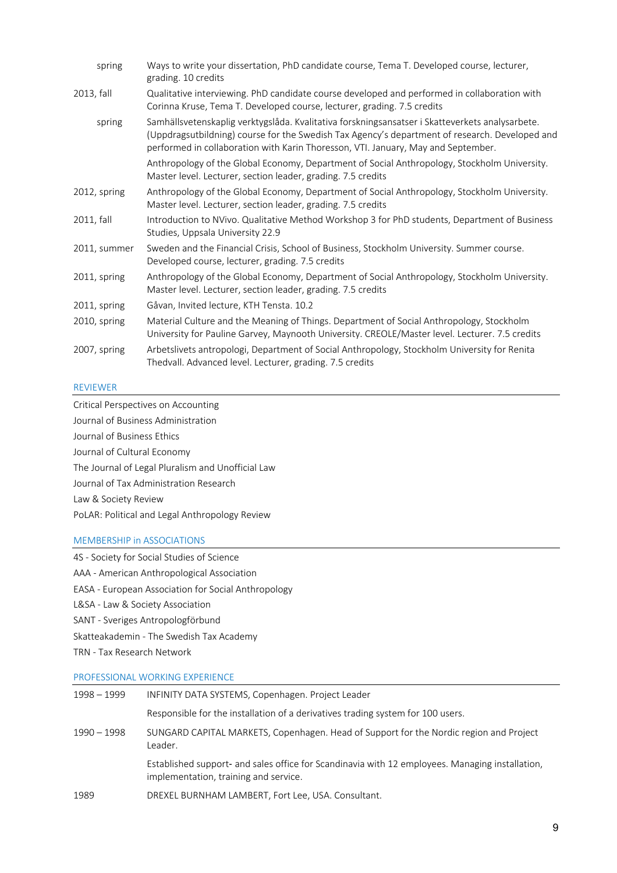| spring       | Ways to write your dissertation, PhD candidate course, Tema T. Developed course, lecturer,<br>grading. 10 credits                                                                                                                                                                      |  |
|--------------|----------------------------------------------------------------------------------------------------------------------------------------------------------------------------------------------------------------------------------------------------------------------------------------|--|
| 2013, fall   | Qualitative interviewing. PhD candidate course developed and performed in collaboration with<br>Corinna Kruse, Tema T. Developed course, lecturer, grading. 7.5 credits                                                                                                                |  |
| spring       | Samhällsvetenskaplig verktygslåda. Kvalitativa forskningsansatser i Skatteverkets analysarbete.<br>(Uppdragsutbildning) course for the Swedish Tax Agency's department of research. Developed and<br>performed in collaboration with Karin Thoresson, VTI. January, May and September. |  |
|              | Anthropology of the Global Economy, Department of Social Anthropology, Stockholm University.<br>Master level. Lecturer, section leader, grading. 7.5 credits                                                                                                                           |  |
| 2012, spring | Anthropology of the Global Economy, Department of Social Anthropology, Stockholm University.<br>Master level. Lecturer, section leader, grading. 7.5 credits                                                                                                                           |  |
| 2011, fall   | Introduction to NVivo. Qualitative Method Workshop 3 for PhD students, Department of Business<br>Studies, Uppsala University 22.9                                                                                                                                                      |  |
| 2011, summer | Sweden and the Financial Crisis, School of Business, Stockholm University. Summer course.<br>Developed course, lecturer, grading. 7.5 credits                                                                                                                                          |  |
| 2011, spring | Anthropology of the Global Economy, Department of Social Anthropology, Stockholm University.<br>Master level. Lecturer, section leader, grading. 7.5 credits                                                                                                                           |  |
| 2011, spring | Gåvan, Invited lecture, KTH Tensta. 10.2                                                                                                                                                                                                                                               |  |
| 2010, spring | Material Culture and the Meaning of Things. Department of Social Anthropology, Stockholm<br>University for Pauline Garvey, Maynooth University. CREOLE/Master level. Lecturer. 7.5 credits                                                                                             |  |
| 2007, spring | Arbetslivets antropologi, Department of Social Anthropology, Stockholm University for Renita<br>Thedvall. Advanced level. Lecturer, grading. 7.5 credits                                                                                                                               |  |

### REVIEWER

Critical Perspectives on Accounting Journal of Business Administration Journal of Business Ethics Journal of Cultural Economy The Journal of Legal Pluralism and Unofficial Law Journal of Tax Administration Research Law & Society Review PoLAR: Political and Legal Anthropology Review

### MEMBERSHIP in ASSOCIATIONS

4S - Society for Social Studies of Science AAA - American Anthropological Association EASA - European Association for Social Anthropology L&SA - Law & Society Association SANT - Sveriges Antropologförbund Skatteakademin - The Swedish Tax Academy TRN - Tax Research Network

### PROFESSIONAL WORKING EXPERIENCE

| 1998 - 1999 | INFINITY DATA SYSTEMS, Copenhagen. Project Leader                                                                                        |
|-------------|------------------------------------------------------------------------------------------------------------------------------------------|
|             | Responsible for the installation of a derivatives trading system for 100 users.                                                          |
| 1990 - 1998 | SUNGARD CAPITAL MARKETS, Copenhagen. Head of Support for the Nordic region and Project<br>Leader.                                        |
|             | Established support- and sales office for Scandinavia with 12 employees. Managing installation,<br>implementation, training and service. |
| 1989        | DREXEL BURNHAM LAMBERT, Fort Lee, USA. Consultant.                                                                                       |